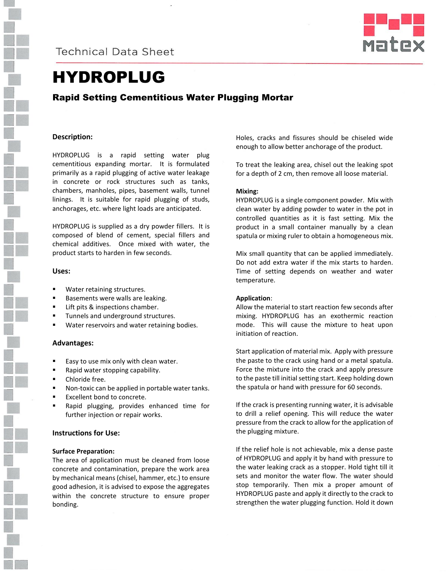

**Technical Data Sheet** 



# HYDROPLUG

# Rapid Setting Cementitious Water Plugging Mortar

## **Description:**

HYDROPLUG is a rapid setting water plug cementitious expanding mortar. It is formulated primarily as a rapid plugging of active water leakage in concrete or rock structures such as tanks, chambers, manholes, pipes, basement walls, tunnel linings. It is suitable for rapid plugging of studs, anchorages, etc. where light loads are anticipated.

HYDROPLUG is supplied as a dry powder fillers. It is composed of blend of cement, special fillers and chemical additives. Once mixed with water, the product starts to harden in few seconds.

## **Uses:**

- Water retaining structures.
- Basements were walls are leaking.
- Lift pits & inspections chamber.
- Tunnels and underground structures.
- **Water reservoirs and water retaining bodies.**

## **Advantages:**

- **Easy to use mix only with clean water.**
- **Rapid water stopping capability.**
- **•** Chloride free.
- **Non-toxic can be applied in portable water tanks.**
- Excellent bond to concrete.
- Rapid plugging, provides enhanced time for further injection or repair works.

## **Instructions for Use:**

#### **Surface Preparation:**

The area of application must be cleaned from loose concrete and contamination, prepare the work area by mechanical means (chisel, hammer, etc.) to ensure good adhesion, it is advised to expose the aggregates within the concrete structure to ensure proper bonding.

Holes, cracks and fissures should be chiseled wide enough to allow better anchorage of the product.

To treat the leaking area, chisel out the leaking spot for a depth of 2 cm, then remove all loose material.

## **Mixing:**

HYDROPLUG is a single component powder. Mix with clean water by adding powder to water in the pot in controlled quantities as it is fast setting. Mix the product in a small container manually by a clean spatula or mixing ruler to obtain a homogeneous mix.

Mix small quantity that can be applied immediately. Do not add extra water if the mix starts to harden. Time of setting depends on weather and water temperature.

#### **Application**:

Allow the material to start reaction few seconds after mixing. HYDROPLUG has an exothermic reaction mode. This will cause the mixture to heat upon initiation of reaction.

Start application of material mix. Apply with pressure the paste to the crack using hand or a metal spatula. Force the mixture into the crack and apply pressure to the paste till initial setting start. Keep holding down the spatula or hand with pressure for 60 seconds.

If the crack is presenting running water, it is advisable to drill a relief opening. This will reduce the water pressure from the crack to allow for the application of the plugging mixture.

If the relief hole is not achievable, mix a dense paste of HYDROPLUG and apply it by hand with pressure to the water leaking crack as a stopper. Hold tight till it sets and monitor the water flow. The water should stop temporarily. Then mix a proper amount of HYDROPLUG paste and apply it directly to the crack to strengthen the water plugging function. Hold it down